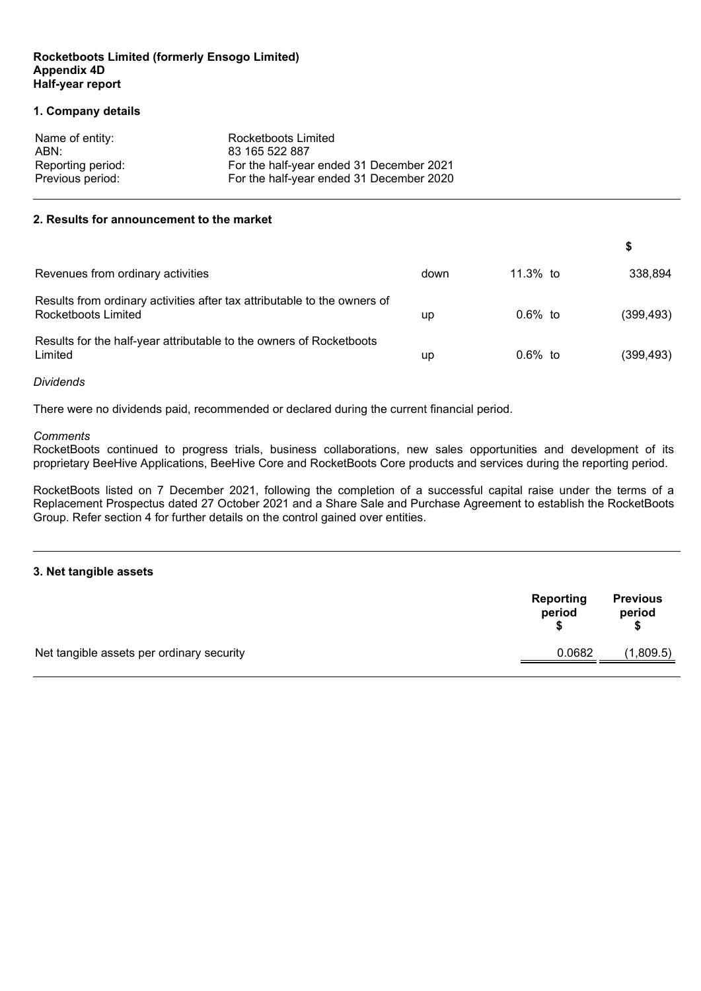#### **Rocketboots Limited (formerly Ensogo Limited) Appendix 4D Half-year report**

#### **1. Company details**

| Name of entity:   | Rocketboots Limited                      |
|-------------------|------------------------------------------|
| ABN:              | 83 165 522 887                           |
| Reporting period: | For the half-year ended 31 December 2021 |
| Previous period:  | For the half-year ended 31 December 2020 |

#### **2. Results for announcement to the market**

| Revenues from ordinary activities                                                               | down | 11.3% to  | 338.894    |
|-------------------------------------------------------------------------------------------------|------|-----------|------------|
| Results from ordinary activities after tax attributable to the owners of<br>Rocketboots Limited | up   | $0.6%$ to | (399, 493) |
| Results for the half-year attributable to the owners of Rocketboots<br>Limited                  | up   | $0.6%$ to | (399, 493) |

#### *Dividends*

There were no dividends paid, recommended or declared during the current financial period.

#### *Comments*

RocketBoots continued to progress trials, business collaborations, new sales opportunities and development of its proprietary BeeHive Applications, BeeHive Core and RocketBoots Core products and services during the reporting period.

RocketBoots listed on 7 December 2021, following the completion of a successful capital raise under the terms of a Replacement Prospectus dated 27 October 2021 and a Share Sale and Purchase Agreement to establish the RocketBoots Group. Refer section 4 for further details on the control gained over entities.

#### **3. Net tangible assets**

|                                           | Reporting<br>period | <b>Previous</b><br>period |
|-------------------------------------------|---------------------|---------------------------|
| Net tangible assets per ordinary security | 0.0682              | (1,809.5)                 |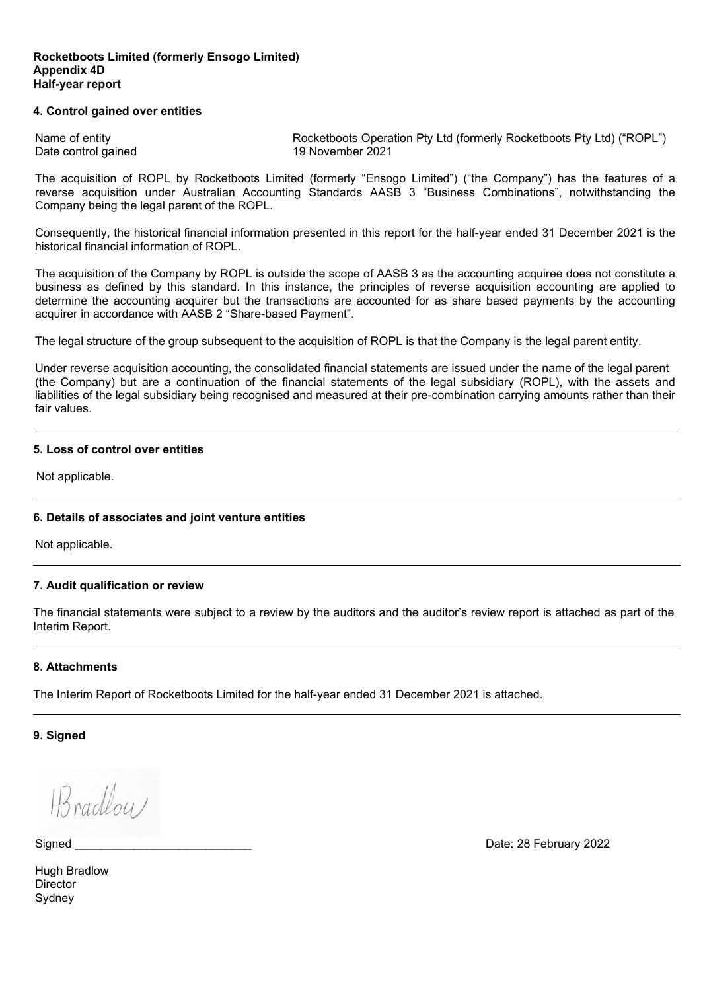#### **4. Control gained over entities**

Name of entity **Rocketboots Operation Pty Ltd (formerly Rocketboots Pty Ltd) ("ROPL")** Date control gained 19 November 2021

The acquisition of ROPL by Rocketboots Limited (formerly "Ensogo Limited") ("the Company") has the features of a reverse acquisition under Australian Accounting Standards AASB 3 "Business Combinations", notwithstanding the Company being the legal parent of the ROPL.

Consequently, the historical financial information presented in this report for the half-year ended 31 December 2021 is the historical financial information of ROPL.

The acquisition of the Company by ROPL is outside the scope of AASB 3 as the accounting acquiree does not constitute a business as defined by this standard. In this instance, the principles of reverse acquisition accounting are applied to determine the accounting acquirer but the transactions are accounted for as share based payments by the accounting acquirer in accordance with AASB 2 "Share-based Payment".

The legal structure of the group subsequent to the acquisition of ROPL is that the Company is the legal parent entity.

Under reverse acquisition accounting, the consolidated financial statements are issued under the name of the legal parent (the Company) but are a continuation of the financial statements of the legal subsidiary (ROPL), with the assets and liabilities of the legal subsidiary being recognised and measured at their pre-combination carrying amounts rather than their fair values.

#### **5. Loss of control over entities**

Not applicable.

#### **6. Details of associates and joint venture entities**

Not applicable.

#### **7. Audit qualification or review**

The financial statements were subject to a review by the auditors and the auditor's review report is attached as part of the Interim Report.

#### **8. Attachments**

The Interim Report of Rocketboots Limited for the half-year ended 31 December 2021 is attached.

**9. Signed**

H3 radlou

Signed **Example 2022** Signed **Superintending the Contract of Contract 2002** Date: 28 February 2022

Hugh Bradlow **Director** Sydney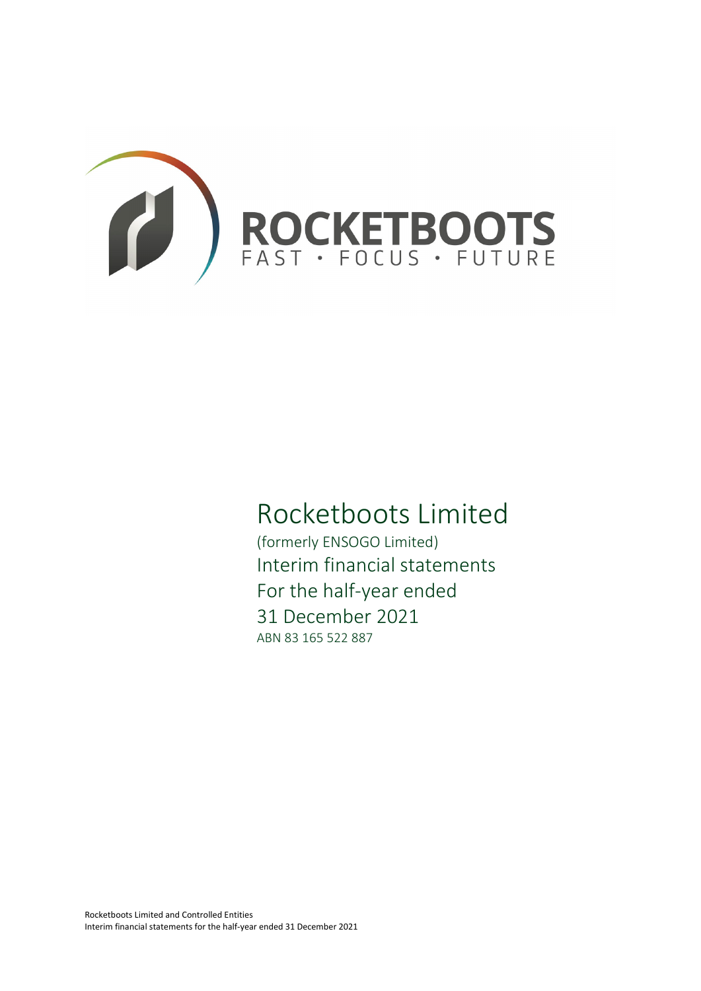

# Rocketboots Limited

(formerly ENSOGO Limited) Interim financial statements For the half-year ended 31 December 2021 ABN 83 165 522 887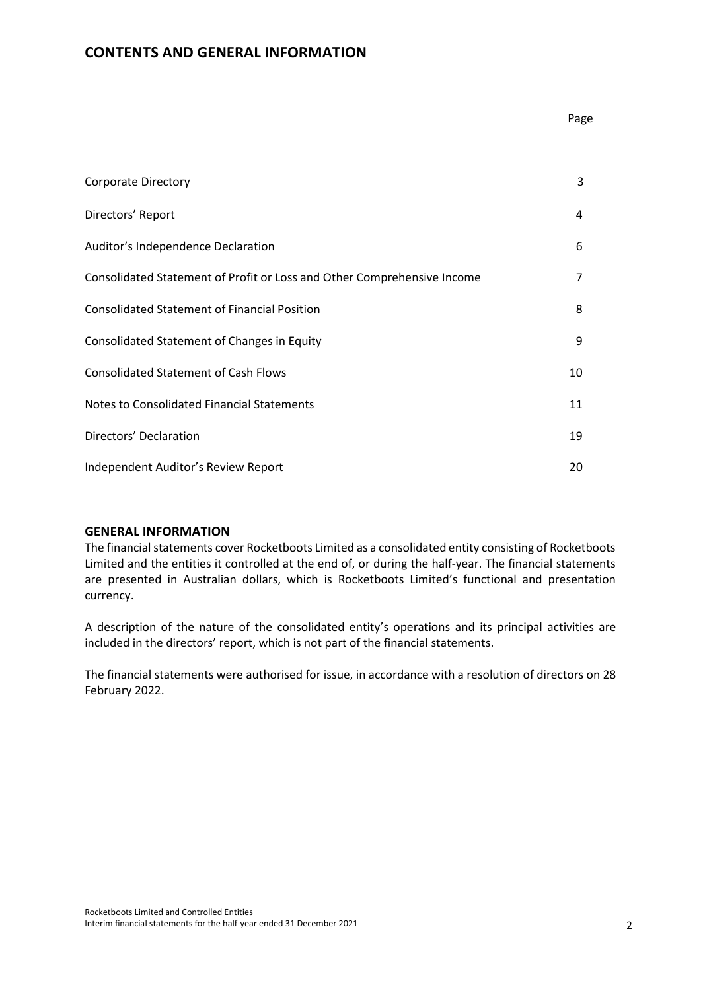# **CONTENTS AND GENERAL INFORMATION**

| <b>Corporate Directory</b>                                              | 3  |
|-------------------------------------------------------------------------|----|
| Directors' Report                                                       | 4  |
| Auditor's Independence Declaration                                      | 6  |
| Consolidated Statement of Profit or Loss and Other Comprehensive Income | 7  |
| <b>Consolidated Statement of Financial Position</b>                     | 8  |
| Consolidated Statement of Changes in Equity                             | 9  |
| <b>Consolidated Statement of Cash Flows</b>                             | 10 |
| <b>Notes to Consolidated Financial Statements</b>                       | 11 |
| Directors' Declaration                                                  | 19 |
| Independent Auditor's Review Report                                     | 20 |

#### **GENERAL INFORMATION**

The financial statements cover Rocketboots Limited as a consolidated entity consisting of Rocketboots Limited and the entities it controlled at the end of, or during the half-year. The financial statements are presented in Australian dollars, which is Rocketboots Limited's functional and presentation currency.

A description of the nature of the consolidated entity's operations and its principal activities are included in the directors' report, which is not part of the financial statements.

The financial statements were authorised for issue, in accordance with a resolution of directors on 28 February 2022.

Page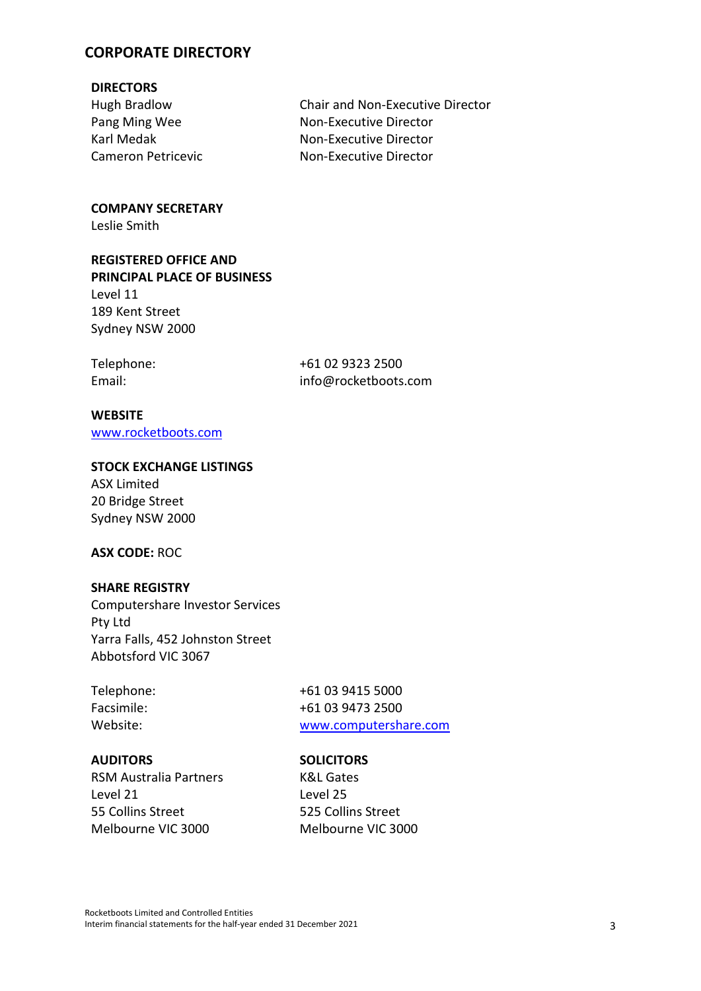# **CORPORATE DIRECTORY**

# **DIRECTORS**

Karl Medak Cameron Petricevic

Hugh Bradlow Chair and Non-Executive Director Pang Ming Wee Non-Executive Director Non-Executive Director Non-Executive Director

# **COMPANY SECRETARY**

Leslie Smith

# **REGISTERED OFFICE AND PRINCIPAL PLACE OF BUSINESS** Level 11

189 Kent Street Sydney NSW 2000

Telephone: +61 02 9323 2500 Email: info@rocketboots.com

# **WEBSITE**

[www.rocketboots.com](http://www.rocketboots.com/)

# **STOCK EXCHANGE LISTINGS**

ASX Limited 20 Bridge Street Sydney NSW 2000

# **ASX CODE:** ROC

# **SHARE REGISTRY**

Computershare Investor Services Pty Ltd Yarra Falls, 452 Johnston Street Abbotsford VIC 3067

Telephone: +61 03 9415 5000 Facsimile: +61 03 9473 2500 Website: [www.computershare.com](http://www.computershare.com/)

#### **AUDITORS SOLICITORS**

RSM Australia Partners K&L Gates Level 21 55 Collins Street Melbourne VIC 3000

Level 25 525 Collins Street Melbourne VIC 3000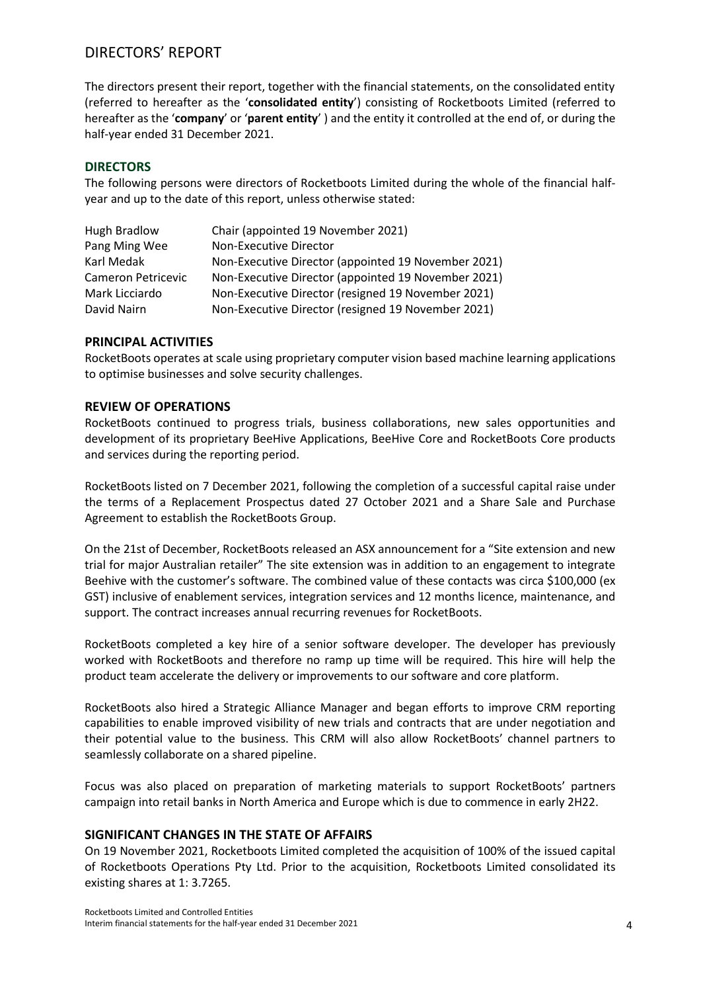# DIRECTORS' REPORT

The directors present their report, together with the financial statements, on the consolidated entity (referred to hereafter as the '**consolidated entity**') consisting of Rocketboots Limited (referred to hereafter as the '**company**' or '**parent entity**' ) and the entity it controlled at the end of, or during the half-year ended 31 December 2021.

# **DIRECTORS**

The following persons were directors of Rocketboots Limited during the whole of the financial halfyear and up to the date of this report, unless otherwise stated:

| <b>Hugh Bradlow</b> | Chair (appointed 19 November 2021)                  |
|---------------------|-----------------------------------------------------|
| Pang Ming Wee       | Non-Executive Director                              |
| Karl Medak          | Non-Executive Director (appointed 19 November 2021) |
| Cameron Petricevic  | Non-Executive Director (appointed 19 November 2021) |
| Mark Licciardo      | Non-Executive Director (resigned 19 November 2021)  |
| David Nairn         | Non-Executive Director (resigned 19 November 2021)  |

# **PRINCIPAL ACTIVITIES**

RocketBoots operates at scale using proprietary computer vision based machine learning applications to optimise businesses and solve security challenges.

#### **REVIEW OF OPERATIONS**

RocketBoots continued to progress trials, business collaborations, new sales opportunities and development of its proprietary BeeHive Applications, BeeHive Core and RocketBoots Core products and services during the reporting period.

RocketBoots listed on 7 December 2021, following the completion of a successful capital raise under the terms of a Replacement Prospectus dated 27 October 2021 and a Share Sale and Purchase Agreement to establish the RocketBoots Group.

On the 21st of December, RocketBoots released an ASX announcement for a "Site extension and new trial for major Australian retailer" The site extension was in addition to an engagement to integrate Beehive with the customer's software. The combined value of these contacts was circa \$100,000 (ex GST) inclusive of enablement services, integration services and 12 months licence, maintenance, and support. The contract increases annual recurring revenues for RocketBoots.

RocketBoots completed a key hire of a senior software developer. The developer has previously worked with RocketBoots and therefore no ramp up time will be required. This hire will help the product team accelerate the delivery or improvements to our software and core platform.

RocketBoots also hired a Strategic Alliance Manager and began efforts to improve CRM reporting capabilities to enable improved visibility of new trials and contracts that are under negotiation and their potential value to the business. This CRM will also allow RocketBoots' channel partners to seamlessly collaborate on a shared pipeline.

Focus was also placed on preparation of marketing materials to support RocketBoots' partners campaign into retail banks in North America and Europe which is due to commence in early 2H22.

#### **SIGNIFICANT CHANGES IN THE STATE OF AFFAIRS**

On 19 November 2021, Rocketboots Limited completed the acquisition of 100% of the issued capital of Rocketboots Operations Pty Ltd. Prior to the acquisition, Rocketboots Limited consolidated its existing shares at 1: 3.7265.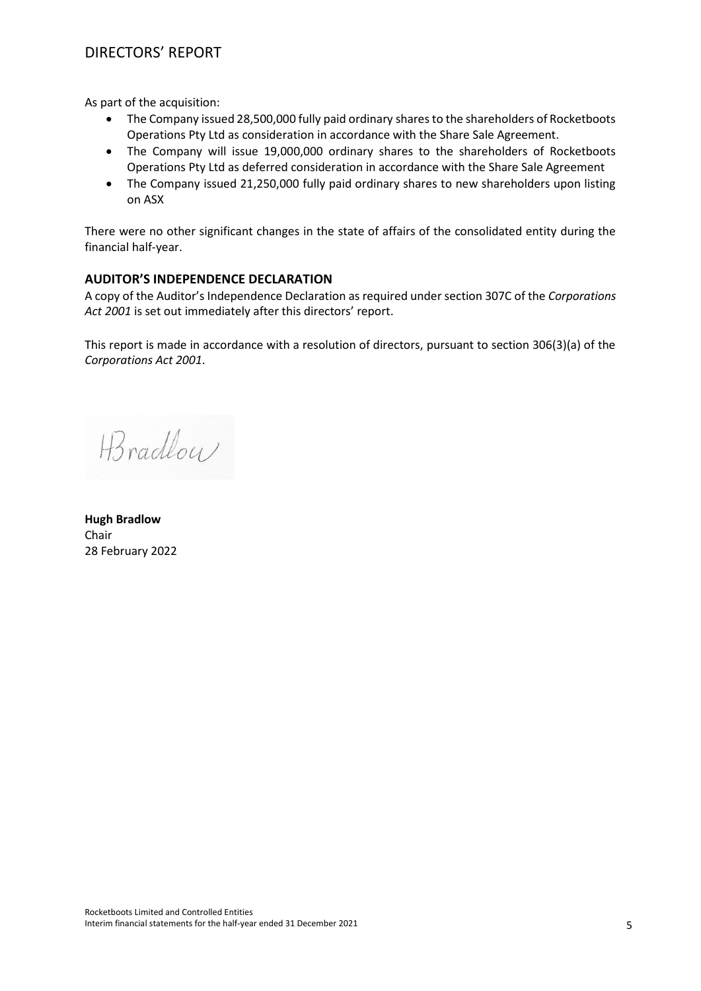# DIRECTORS' REPORT

As part of the acquisition:

- The Company issued 28,500,000 fully paid ordinary shares to the shareholders of Rocketboots Operations Pty Ltd as consideration in accordance with the Share Sale Agreement.
- The Company will issue 19,000,000 ordinary shares to the shareholders of Rocketboots Operations Pty Ltd as deferred consideration in accordance with the Share Sale Agreement
- The Company issued 21,250,000 fully paid ordinary shares to new shareholders upon listing on ASX

There were no other significant changes in the state of affairs of the consolidated entity during the financial half-year.

# **AUDITOR'S INDEPENDENCE DECLARATION**

A copy of the Auditor's Independence Declaration as required under section 307C of the *Corporations Act 2001* is set out immediately after this directors' report.

This report is made in accordance with a resolution of directors, pursuant to section 306(3)(a) of the *Corporations Act 2001*.

H3 radboy

**Hugh Bradlow** Chair 28 February 2022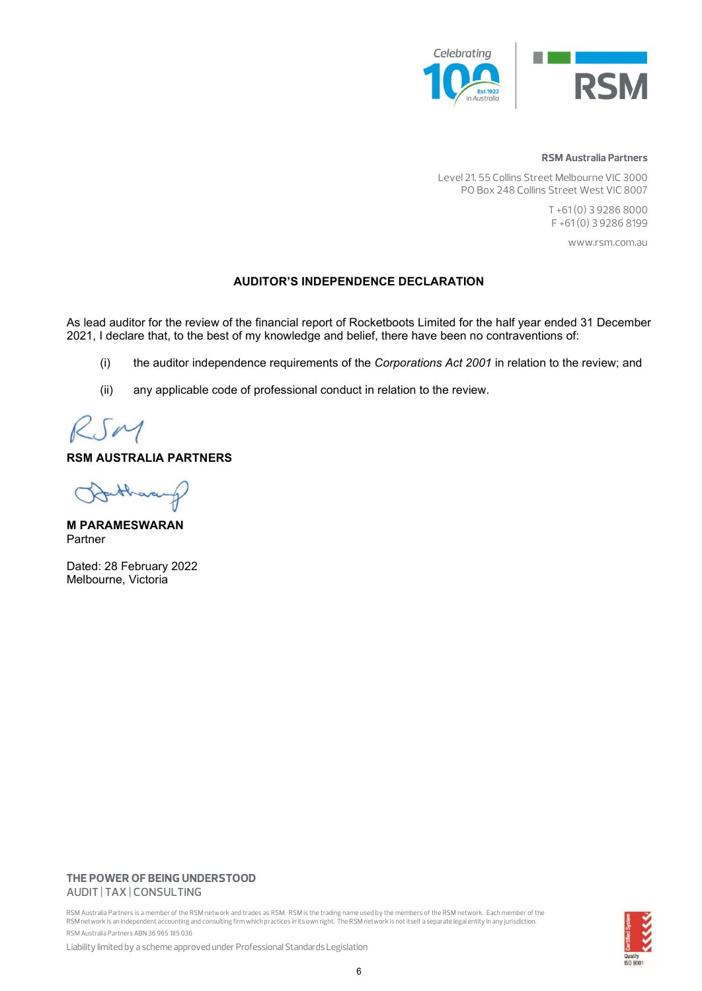

#### **RSM Australia Partners**

Level 21, 55 Collins Street Melbourne VIC 3000 PO Box 248 Collins Street West VIC 8007

> T +61 (0) 3 9286 8000 F +61 (0) 3 9286 8199

> > www.rsm.com.au

#### **AUDITOR'S INDEPENDENCE DECLARATION**

As lead auditor for the review of the financial report of Rocketboots Limited for the half year ended 31 December 2021, I declare that, to the best of my knowledge and belief, there have been no contraventions of:

- (i) the auditor independence requirements of the *Corporations Act 2001* in relation to the review; and
- (ii) any applicable code of professional conduct in relation to the review.

RSM

# **RSM AUSTRALIA PARTNERS**

than

**M PARAMESWARAN** Partner

Dated: 28 February 2022 Melbourne, Victoria

#### **THE POWER OF BEING UNDERSTOOD** AUDIT | TAX | CONSULTING

RSM Australia Partners is a member of the RSM network and trades as RSM. RSM is the trading name used by the members of the RSM network. Each member of the<br>RSM network is an independent accounting and consulting firm which RSM Australia Partners ABN 36 965 185 036



Liability limited by a scheme approved under Professional Standards Legislation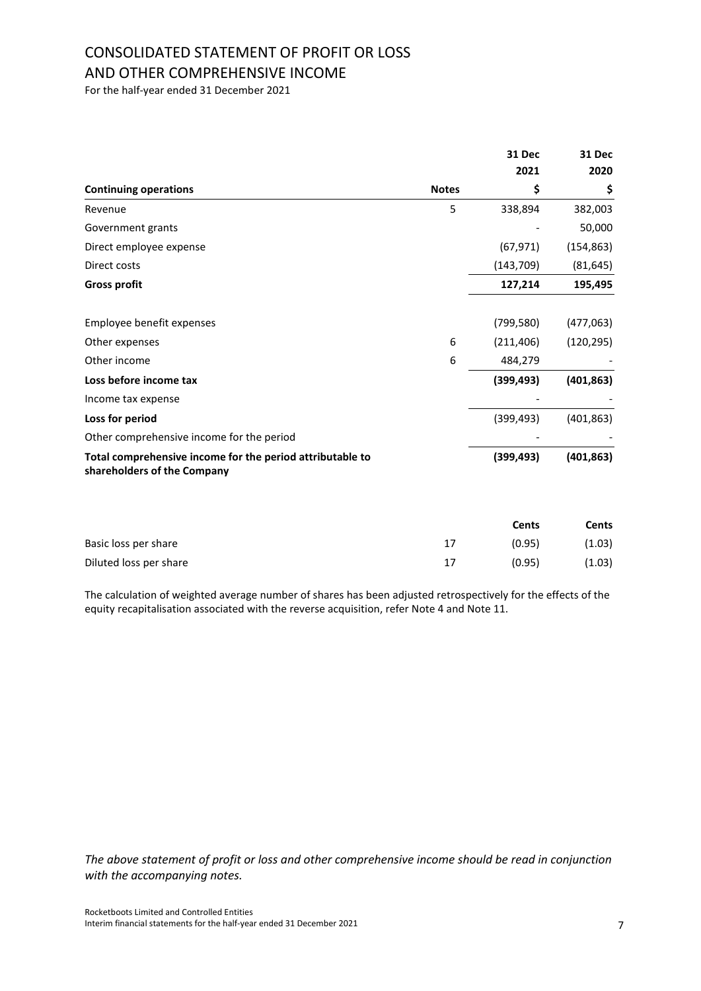# CONSOLIDATED STATEMENT OF PROFIT OR LOSS AND OTHER COMPREHENSIVE INCOME

For the half-year ended 31 December 2021

|                                                                                          |              | 31 Dec     | 31 Dec     |
|------------------------------------------------------------------------------------------|--------------|------------|------------|
|                                                                                          |              | 2021       | 2020       |
| <b>Continuing operations</b>                                                             | <b>Notes</b> | \$         | \$         |
| Revenue                                                                                  | 5            | 338,894    | 382,003    |
| Government grants                                                                        |              |            | 50,000     |
| Direct employee expense                                                                  |              | (67, 971)  | (154, 863) |
| Direct costs                                                                             |              | (143, 709) | (81, 645)  |
| <b>Gross profit</b>                                                                      |              | 127,214    | 195,495    |
| Employee benefit expenses                                                                |              | (799, 580) | (477,063)  |
| Other expenses                                                                           | 6            | (211, 406) | (120, 295) |
| Other income                                                                             | 6            | 484,279    |            |
| Loss before income tax                                                                   |              | (399, 493) | (401, 863) |
| Income tax expense                                                                       |              |            |            |
| Loss for period                                                                          |              | (399, 493) | (401, 863) |
| Other comprehensive income for the period                                                |              |            |            |
| Total comprehensive income for the period attributable to<br>shareholders of the Company |              | (399, 493) | (401, 863) |

|                        |    | Cents  | Cents  |
|------------------------|----|--------|--------|
| Basic loss per share   | 17 | (0.95) | (1.03) |
| Diluted loss per share | 17 | (0.95) | (1.03) |

The calculation of weighted average number of shares has been adjusted retrospectively for the effects of the equity recapitalisation associated with the reverse acquisition, refer Note 4 and Note 11.

*The above statement of profit or loss and other comprehensive income should be read in conjunction with the accompanying notes.*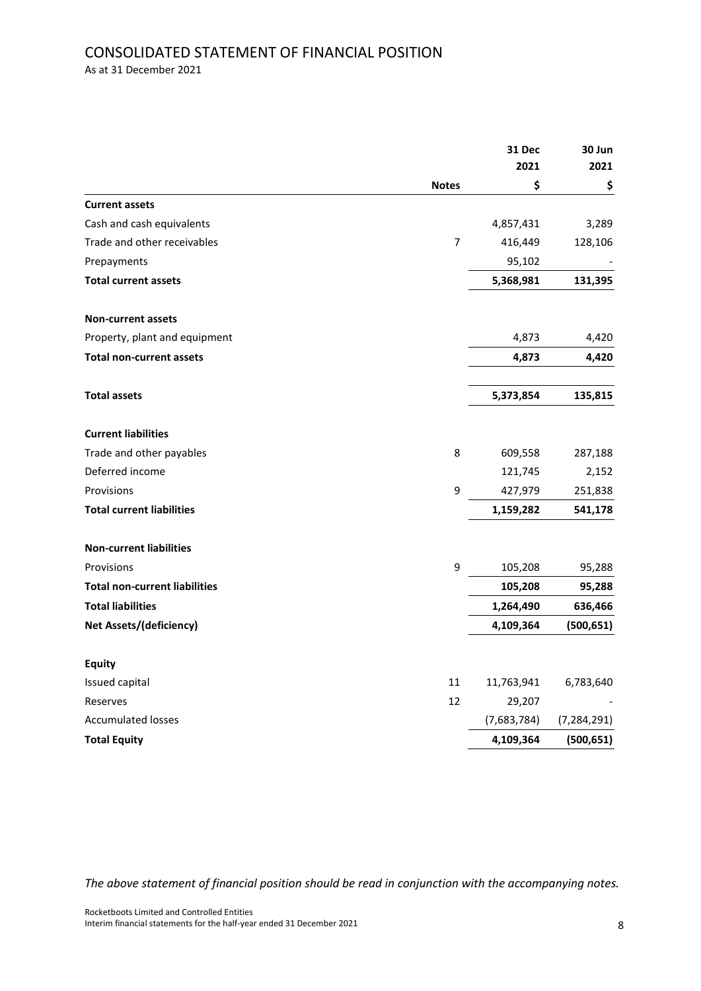# CONSOLIDATED STATEMENT OF FINANCIAL POSITION

As at 31 December 2021

|                                      |              | 31 Dec<br>2021 | 30 Jun<br>2021 |
|--------------------------------------|--------------|----------------|----------------|
|                                      | <b>Notes</b> | \$             | \$             |
| <b>Current assets</b>                |              |                |                |
| Cash and cash equivalents            |              | 4,857,431      | 3,289          |
| Trade and other receivables          | 7            | 416,449        | 128,106        |
| Prepayments                          |              | 95,102         |                |
| <b>Total current assets</b>          |              | 5,368,981      | 131,395        |
| <b>Non-current assets</b>            |              |                |                |
| Property, plant and equipment        |              | 4,873          | 4,420          |
| <b>Total non-current assets</b>      |              | 4,873          | 4,420          |
| <b>Total assets</b>                  |              | 5,373,854      | 135,815        |
| <b>Current liabilities</b>           |              |                |                |
| Trade and other payables             | 8            | 609,558        | 287,188        |
| Deferred income                      |              | 121,745        | 2,152          |
| Provisions                           | 9            | 427,979        | 251,838        |
| <b>Total current liabilities</b>     |              | 1,159,282      | 541,178        |
| <b>Non-current liabilities</b>       |              |                |                |
| Provisions                           | 9            | 105,208        | 95,288         |
| <b>Total non-current liabilities</b> |              | 105,208        | 95,288         |
| <b>Total liabilities</b>             |              | 1,264,490      | 636,466        |
| <b>Net Assets/(deficiency)</b>       |              | 4,109,364      | (500,651)      |
| <b>Equity</b>                        |              |                |                |
| Issued capital                       | 11           | 11,763,941     | 6,783,640      |
| Reserves                             | 12           | 29,207         |                |
| <b>Accumulated losses</b>            |              | (7,683,784)    | (7, 284, 291)  |
| <b>Total Equity</b>                  |              | 4,109,364      | (500, 651)     |

*The above statement of financial position should be read in conjunction with the accompanying notes.*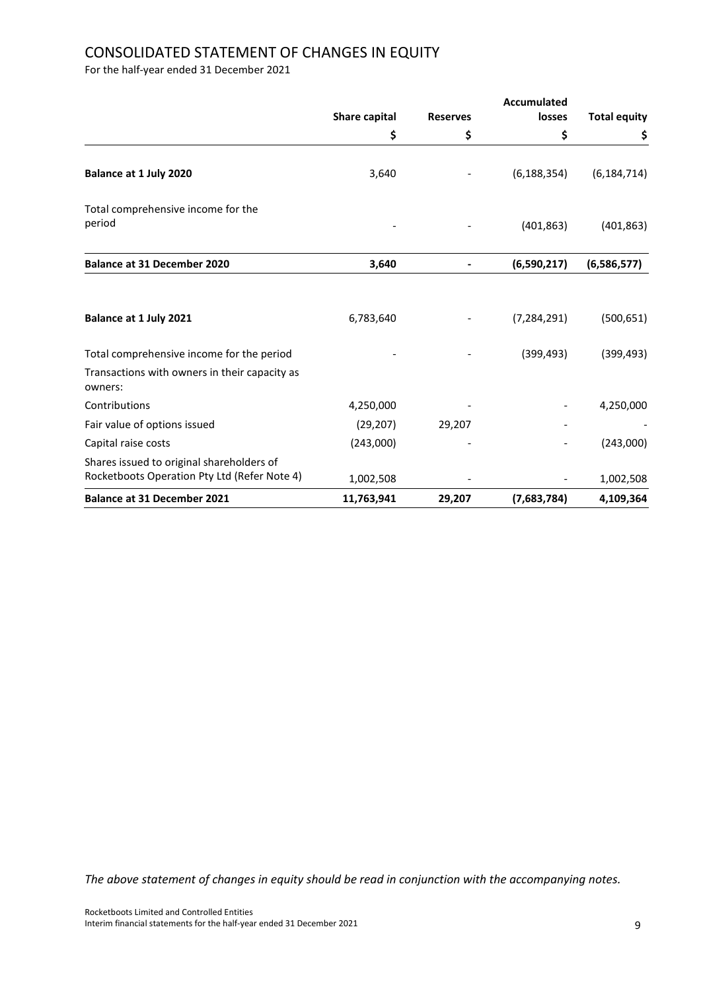# CONSOLIDATED STATEMENT OF CHANGES IN EQUITY

For the half-year ended 31 December 2021

|                                                                                           | <b>Accumulated</b>   |                 |               |                     |
|-------------------------------------------------------------------------------------------|----------------------|-----------------|---------------|---------------------|
|                                                                                           | <b>Share capital</b> | <b>Reserves</b> | losses        | <b>Total equity</b> |
|                                                                                           | \$                   | \$              | \$            | \$                  |
| Balance at 1 July 2020                                                                    | 3,640                |                 | (6, 188, 354) | (6, 184, 714)       |
| Total comprehensive income for the<br>period                                              |                      |                 | (401, 863)    | (401, 863)          |
| <b>Balance at 31 December 2020</b>                                                        | 3,640                |                 | (6,590,217)   | (6,586,577)         |
| Balance at 1 July 2021                                                                    | 6,783,640            |                 | (7, 284, 291) | (500, 651)          |
| Total comprehensive income for the period                                                 |                      |                 | (399, 493)    | (399, 493)          |
| Transactions with owners in their capacity as<br>owners:                                  |                      |                 |               |                     |
| Contributions                                                                             | 4,250,000            |                 |               | 4,250,000           |
| Fair value of options issued                                                              | (29, 207)            | 29,207          |               |                     |
| Capital raise costs                                                                       | (243,000)            |                 |               | (243,000)           |
| Shares issued to original shareholders of<br>Rocketboots Operation Pty Ltd (Refer Note 4) | 1,002,508            |                 |               | 1,002,508           |
| <b>Balance at 31 December 2021</b>                                                        | 11,763,941           | 29,207          | (7,683,784)   | 4,109,364           |

*The above statement of changes in equity should be read in conjunction with the accompanying notes.*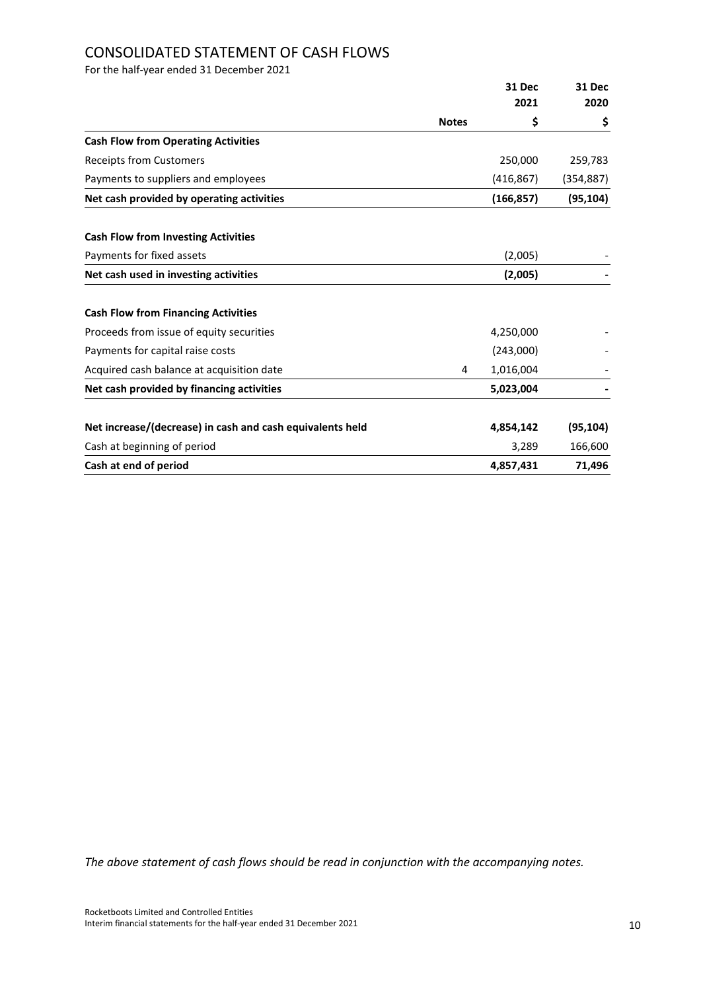# CONSOLIDATED STATEMENT OF CASH FLOWS

For the half-year ended 31 December 2021

|                                                           |              | 31 Dec     | 31 Dec     |
|-----------------------------------------------------------|--------------|------------|------------|
|                                                           |              | 2021       | 2020       |
|                                                           | <b>Notes</b> | \$         | \$         |
| <b>Cash Flow from Operating Activities</b>                |              |            |            |
| Receipts from Customers                                   |              | 250,000    | 259,783    |
| Payments to suppliers and employees                       |              | (416, 867) | (354, 887) |
| Net cash provided by operating activities                 |              | (166, 857) | (95, 104)  |
| <b>Cash Flow from Investing Activities</b>                |              |            |            |
| Payments for fixed assets                                 |              | (2,005)    |            |
| Net cash used in investing activities                     |              | (2,005)    |            |
| <b>Cash Flow from Financing Activities</b>                |              |            |            |
| Proceeds from issue of equity securities                  |              | 4,250,000  |            |
| Payments for capital raise costs                          |              | (243,000)  |            |
| Acquired cash balance at acquisition date                 | 4            | 1,016,004  |            |
| Net cash provided by financing activities                 |              | 5,023,004  |            |
| Net increase/(decrease) in cash and cash equivalents held |              | 4,854,142  | (95, 104)  |
| Cash at beginning of period                               |              | 3,289      | 166,600    |
| Cash at end of period                                     |              | 4,857,431  | 71,496     |

*The above statement of cash flows should be read in conjunction with the accompanying notes.*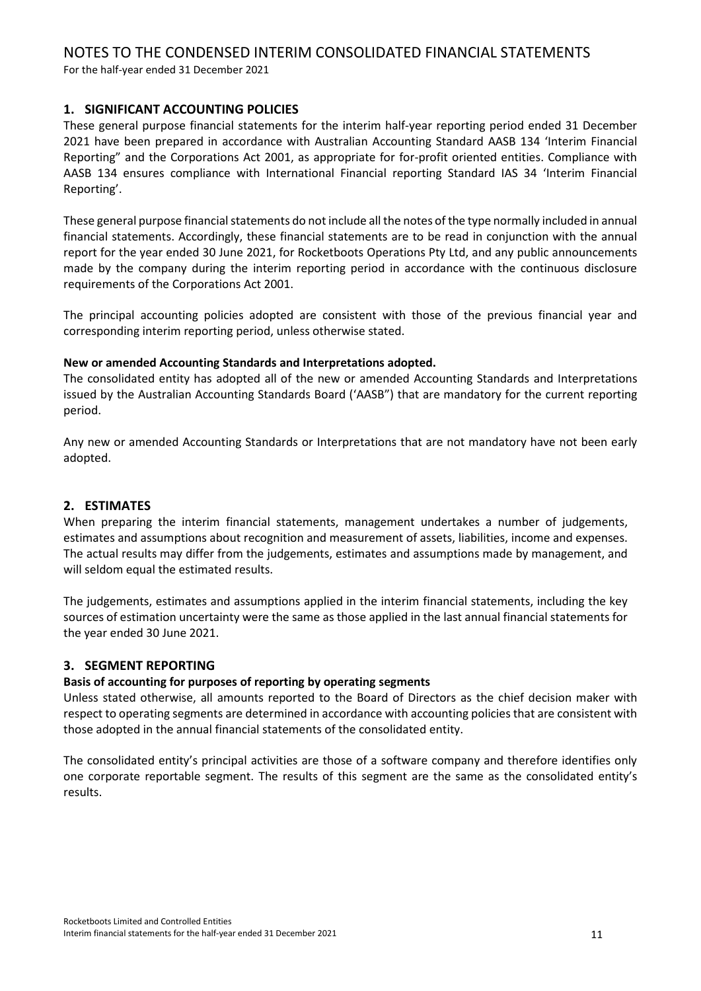For the half-year ended 31 December 2021

# **1. SIGNIFICANT ACCOUNTING POLICIES**

These general purpose financial statements for the interim half-year reporting period ended 31 December 2021 have been prepared in accordance with Australian Accounting Standard AASB 134 'Interim Financial Reporting" and the Corporations Act 2001, as appropriate for for-profit oriented entities. Compliance with AASB 134 ensures compliance with International Financial reporting Standard IAS 34 'Interim Financial Reporting'.

These general purpose financial statements do not include all the notes of the type normally included in annual financial statements. Accordingly, these financial statements are to be read in conjunction with the annual report for the year ended 30 June 2021, for Rocketboots Operations Pty Ltd, and any public announcements made by the company during the interim reporting period in accordance with the continuous disclosure requirements of the Corporations Act 2001.

The principal accounting policies adopted are consistent with those of the previous financial year and corresponding interim reporting period, unless otherwise stated.

# **New or amended Accounting Standards and Interpretations adopted.**

The consolidated entity has adopted all of the new or amended Accounting Standards and Interpretations issued by the Australian Accounting Standards Board ('AASB") that are mandatory for the current reporting period.

Any new or amended Accounting Standards or Interpretations that are not mandatory have not been early adopted.

# **2. ESTIMATES**

When preparing the interim financial statements, management undertakes a number of judgements, estimates and assumptions about recognition and measurement of assets, liabilities, income and expenses. The actual results may differ from the judgements, estimates and assumptions made by management, and will seldom equal the estimated results.

The judgements, estimates and assumptions applied in the interim financial statements, including the key sources of estimation uncertainty were the same as those applied in the last annual financial statements for the year ended 30 June 2021.

# **3. SEGMENT REPORTING**

# **Basis of accounting for purposes of reporting by operating segments**

Unless stated otherwise, all amounts reported to the Board of Directors as the chief decision maker with respect to operating segments are determined in accordance with accounting policies that are consistent with those adopted in the annual financial statements of the consolidated entity.

The consolidated entity's principal activities are those of a software company and therefore identifies only one corporate reportable segment. The results of this segment are the same as the consolidated entity's results.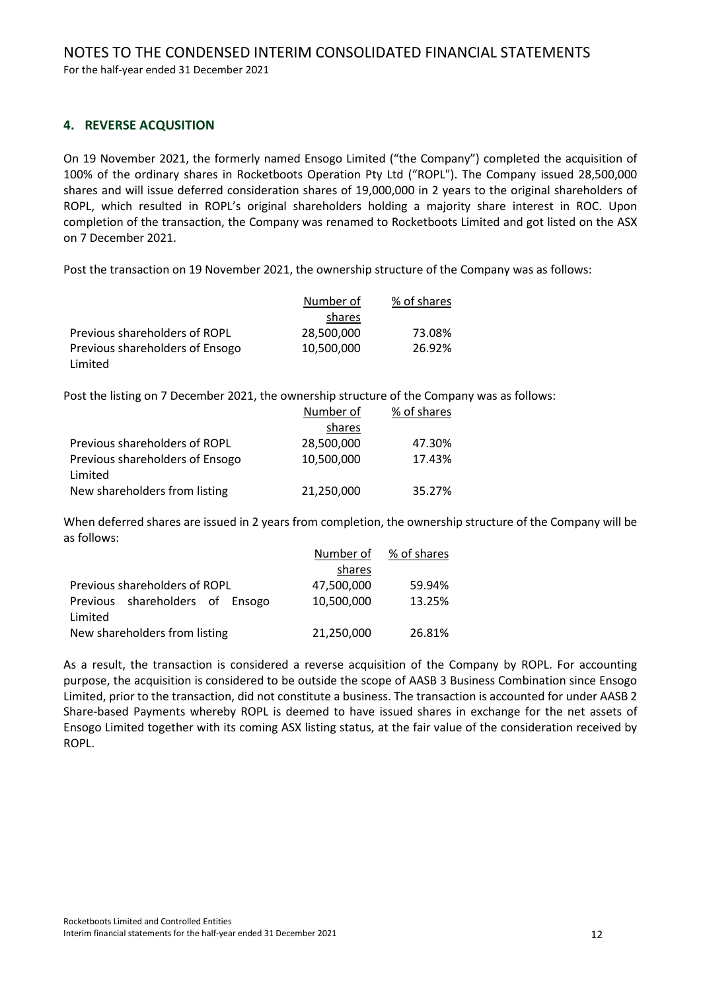For the half-year ended 31 December 2021

# **4. REVERSE ACQUSITION**

On 19 November 2021, the formerly named Ensogo Limited ("the Company") completed the acquisition of 100% of the ordinary shares in Rocketboots Operation Pty Ltd ("ROPL"). The Company issued 28,500,000 shares and will issue deferred consideration shares of 19,000,000 in 2 years to the original shareholders of ROPL, which resulted in ROPL's original shareholders holding a majority share interest in ROC. Upon completion of the transaction, the Company was renamed to Rocketboots Limited and got listed on the ASX on 7 December 2021.

Post the transaction on 19 November 2021, the ownership structure of the Company was as follows:

|                                 | Number of  | % of shares |
|---------------------------------|------------|-------------|
|                                 | shares     |             |
| Previous shareholders of ROPL   | 28,500,000 | 73.08%      |
| Previous shareholders of Ensogo | 10.500.000 | 26.92%      |
| Limited                         |            |             |

Post the listing on 7 December 2021, the ownership structure of the Company was as follows:

|                                 | Number of  | % of shares |
|---------------------------------|------------|-------------|
|                                 | shares     |             |
| Previous shareholders of ROPL   | 28,500,000 | 47.30%      |
| Previous shareholders of Ensogo | 10,500,000 | 17.43%      |
| Limited                         |            |             |
| New shareholders from listing   | 21,250,000 | 35.27%      |

When deferred shares are issued in 2 years from completion, the ownership structure of the Company will be as follows:

|                                 | Number of  | % of shares |
|---------------------------------|------------|-------------|
|                                 | shares     |             |
| Previous shareholders of ROPL   | 47,500,000 | 59.94%      |
| Previous shareholders of Ensogo | 10,500,000 | 13.25%      |
| Limited                         |            |             |
| New shareholders from listing   | 21,250,000 | 26.81%      |

As a result, the transaction is considered a reverse acquisition of the Company by ROPL. For accounting purpose, the acquisition is considered to be outside the scope of AASB 3 Business Combination since Ensogo Limited, prior to the transaction, did not constitute a business. The transaction is accounted for under AASB 2 Share-based Payments whereby ROPL is deemed to have issued shares in exchange for the net assets of Ensogo Limited together with its coming ASX listing status, at the fair value of the consideration received by ROPL.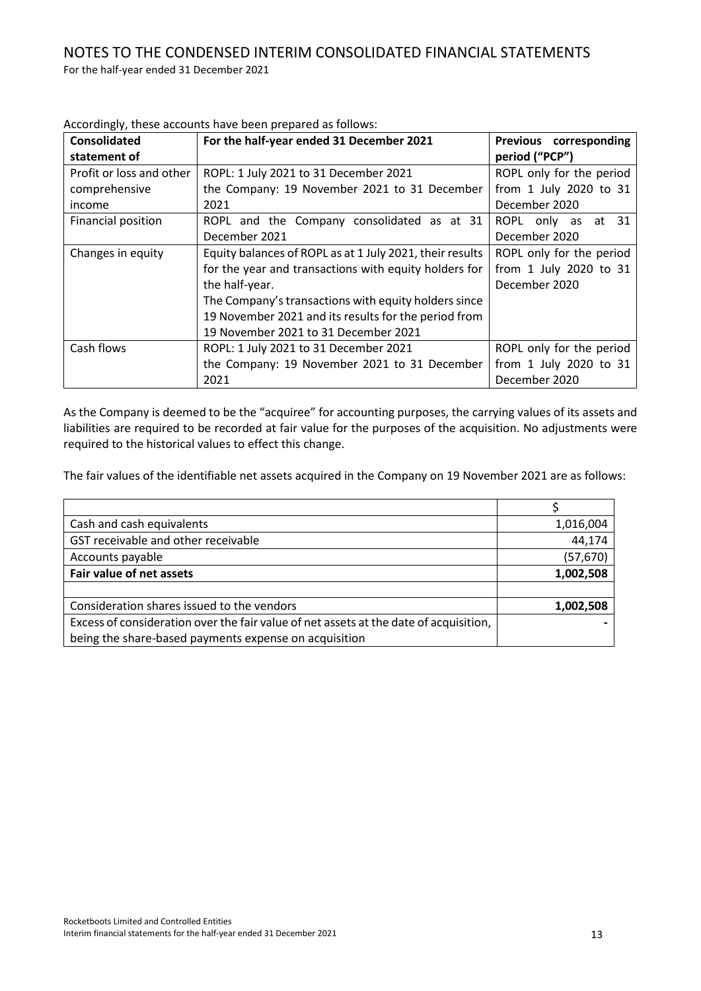| <b>Consolidated</b><br>statement of | For the half-year ended 31 December 2021                 | Previous corresponding<br>period ("PCP") |
|-------------------------------------|----------------------------------------------------------|------------------------------------------|
| Profit or loss and other            | ROPL: 1 July 2021 to 31 December 2021                    | ROPL only for the period                 |
| comprehensive                       | the Company: 19 November 2021 to 31 December             | from 1 July 2020 to 31                   |
| income                              | 2021                                                     | December 2020                            |
| Financial position                  | ROPL and the Company consolidated as at 31               | ROPL only as at 31                       |
|                                     | December 2021                                            | December 2020                            |
| Changes in equity                   | Equity balances of ROPL as at 1 July 2021, their results | ROPL only for the period                 |
|                                     | for the year and transactions with equity holders for    | from 1 July 2020 to 31                   |
|                                     | the half-year.                                           | December 2020                            |
|                                     | The Company's transactions with equity holders since     |                                          |
|                                     | 19 November 2021 and its results for the period from     |                                          |
|                                     | 19 November 2021 to 31 December 2021                     |                                          |
| Cash flows                          | ROPL: 1 July 2021 to 31 December 2021                    | ROPL only for the period                 |
|                                     | the Company: 19 November 2021 to 31 December             | from 1 July 2020 to 31                   |
|                                     | 2021                                                     | December 2020                            |

Accordingly, these accounts have been prepared as follows:

As the Company is deemed to be the "acquiree" for accounting purposes, the carrying values of its assets and liabilities are required to be recorded at fair value for the purposes of the acquisition. No adjustments were required to the historical values to effect this change.

The fair values of the identifiable net assets acquired in the Company on 19 November 2021 are as follows:

| Cash and cash equivalents                                                             | 1,016,004 |
|---------------------------------------------------------------------------------------|-----------|
| GST receivable and other receivable                                                   | 44,174    |
| Accounts payable                                                                      | (57, 670) |
| Fair value of net assets                                                              | 1,002,508 |
|                                                                                       |           |
| Consideration shares issued to the vendors                                            | 1,002,508 |
| Excess of consideration over the fair value of net assets at the date of acquisition, |           |
| being the share-based payments expense on acquisition                                 |           |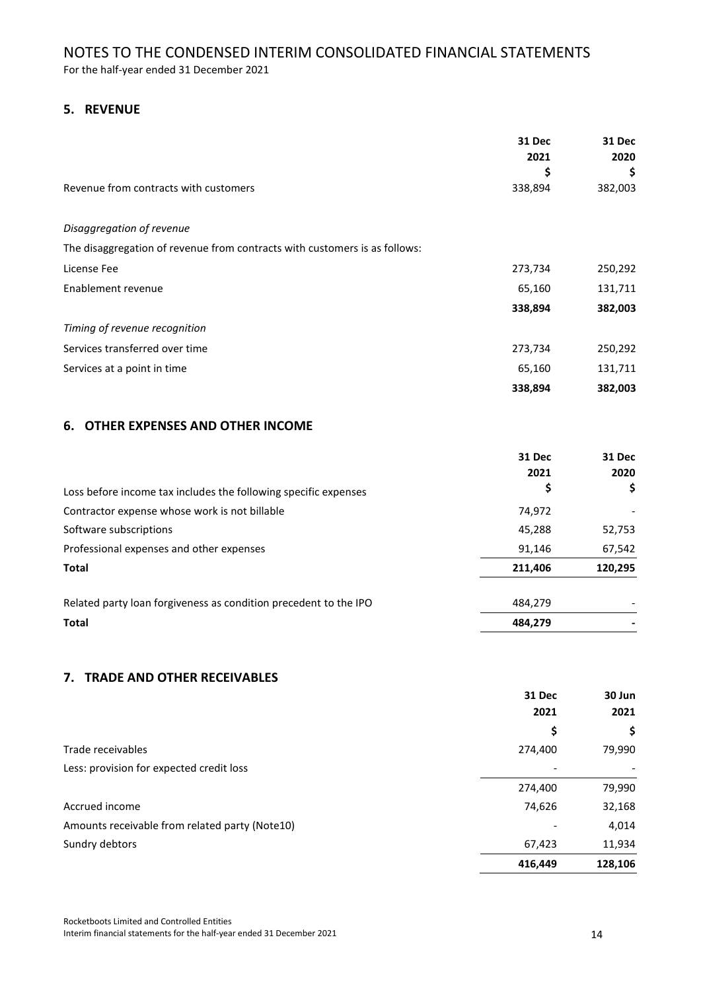For the half-year ended 31 December 2021

# **5. REVENUE**

|                                                                            | <b>31 Dec</b><br>2021<br>\$ | <b>31 Dec</b><br>2020<br>\$ |
|----------------------------------------------------------------------------|-----------------------------|-----------------------------|
| Revenue from contracts with customers                                      | 338,894                     | 382,003                     |
| Disaggregation of revenue                                                  |                             |                             |
| The disaggregation of revenue from contracts with customers is as follows: |                             |                             |
| License Fee                                                                | 273,734                     | 250,292                     |
| Enablement revenue                                                         | 65,160                      | 131,711                     |
|                                                                            | 338,894                     | 382,003                     |
| Timing of revenue recognition                                              |                             |                             |
| Services transferred over time                                             | 273,734                     | 250,292                     |
| Services at a point in time                                                | 65,160                      | 131,711                     |
|                                                                            | 338,894                     | 382,003                     |
| 6. OTHER EXPENSES AND OTHER INCOME                                         |                             |                             |

# **31 Dec 31 Dec 2021 2020** Loss before income tax includes the following specific expenses **\$ \$** Contractor expense whose work is not billable and the contractor expense whose work is not billable contractor Software subscriptions 62,753 Professional expenses and other expenses exercises and  $\frac{91,146}{67,542}$ **Total 211,406 120,295** Related party loan forgiveness as condition precedent to the IPO 484,279 484,279 **Total 484,279 -**

# **7. TRADE AND OTHER RECEIVABLES**

|                                                | <b>31 Dec</b> | 30 Jun  |
|------------------------------------------------|---------------|---------|
|                                                | 2021          | 2021    |
|                                                | Ş             | \$      |
| Trade receivables                              | 274,400       | 79,990  |
| Less: provision for expected credit loss       |               |         |
|                                                | 274,400       | 79,990  |
| Accrued income                                 | 74,626        | 32,168  |
| Amounts receivable from related party (Note10) |               | 4,014   |
| Sundry debtors                                 | 67,423        | 11,934  |
|                                                | 416,449       | 128,106 |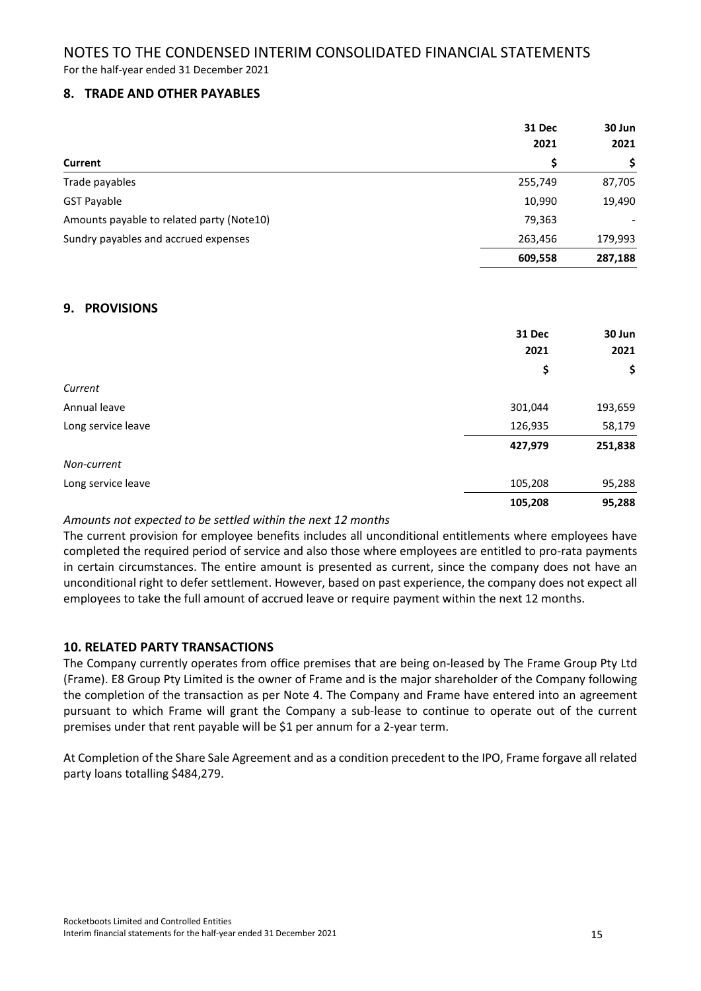For the half-year ended 31 December 2021

# **8. TRADE AND OTHER PAYABLES**

|                                           | <b>31 Dec</b><br>2021<br>\$ | 30 Jun<br>2021<br>\$ |
|-------------------------------------------|-----------------------------|----------------------|
| Current                                   |                             |                      |
|                                           |                             |                      |
| <b>GST Payable</b>                        | 10,990                      | 19,490               |
| Amounts payable to related party (Note10) | 79,363                      |                      |
| Sundry payables and accrued expenses      | 263,456                     | 179,993              |
|                                           | 609,558                     | 287,188              |

# **9. PROVISIONS**

|                    | <b>31 Dec</b><br>2021 | 30 Jun<br>2021 |
|--------------------|-----------------------|----------------|
|                    | \$                    | \$             |
| Current            |                       |                |
| Annual leave       | 301,044               | 193,659        |
| Long service leave | 126,935               | 58,179         |
|                    | 427,979               | 251,838        |
| Non-current        |                       |                |
| Long service leave | 105,208               | 95,288         |
|                    | 105,208               | 95,288         |

#### *Amounts not expected to be settled within the next 12 months*

The current provision for employee benefits includes all unconditional entitlements where employees have completed the required period of service and also those where employees are entitled to pro-rata payments in certain circumstances. The entire amount is presented as current, since the company does not have an unconditional right to defer settlement. However, based on past experience, the company does not expect all employees to take the full amount of accrued leave or require payment within the next 12 months.

#### **10. RELATED PARTY TRANSACTIONS**

The Company currently operates from office premises that are being on-leased by The Frame Group Pty Ltd (Frame). E8 Group Pty Limited is the owner of Frame and is the major shareholder of the Company following the completion of the transaction as per Note 4. The Company and Frame have entered into an agreement pursuant to which Frame will grant the Company a sub-lease to continue to operate out of the current premises under that rent payable will be \$1 per annum for a 2-year term.

At Completion of the Share Sale Agreement and as a condition precedent to the IPO, Frame forgave all related party loans totalling \$484,279.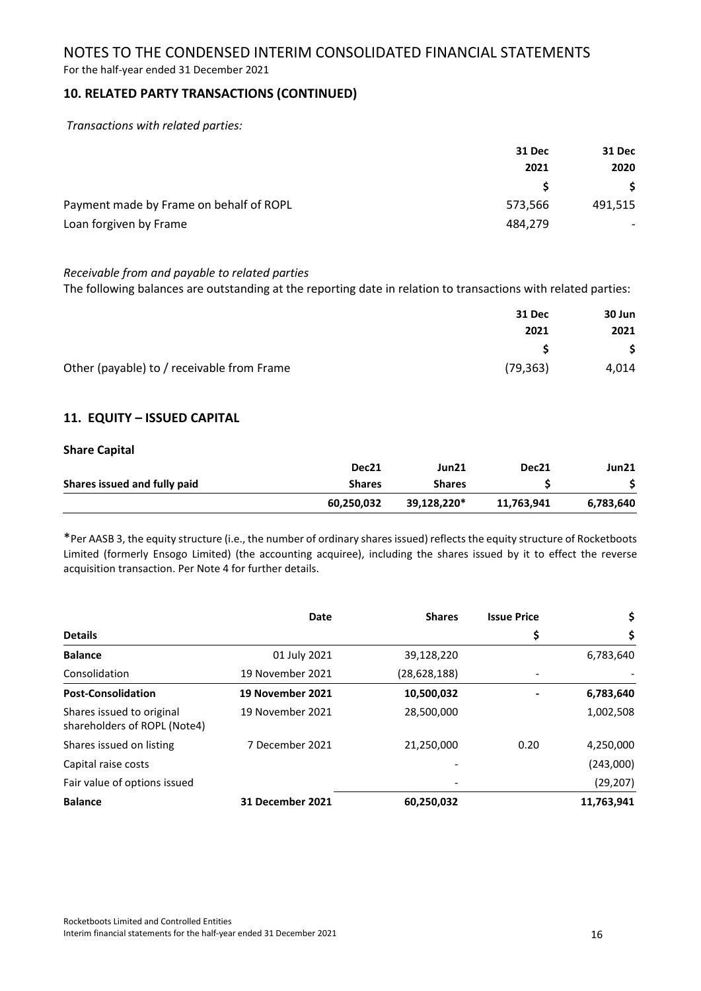For the half-year ended 31 December 2021

# **10. RELATED PARTY TRANSACTIONS (CONTINUED)**

*Transactions with related parties:*

|                                         | 31 Dec  | <b>31 Dec</b>            |
|-----------------------------------------|---------|--------------------------|
|                                         | 2021    | 2020<br>S.               |
|                                         |         |                          |
| Payment made by Frame on behalf of ROPL | 573,566 | 491,515                  |
| Loan forgiven by Frame                  | 484.279 | $\overline{\phantom{0}}$ |

#### *Receivable from and payable to related parties*

The following balances are outstanding at the reporting date in relation to transactions with related parties:

|                                            | 31 Dec    | 30 Jun |
|--------------------------------------------|-----------|--------|
|                                            | 2021      | 2021   |
|                                            |           | -\$    |
| Other (payable) to / receivable from Frame | (79, 363) | 4,014  |

# **11. EQUITY – ISSUED CAPITAL**

#### **Share Capital**

|                              | Dec21         | Jun21         | Dec21      | Jun21     |
|------------------------------|---------------|---------------|------------|-----------|
| Shares issued and fully paid | <b>Shares</b> | <b>Shares</b> |            |           |
|                              | 60.250.032    | 39.128.220*   | 11,763,941 | 6.783.640 |

\*Per AASB 3, the equity structure (i.e., the number of ordinary shares issued) reflects the equity structure of Rocketboots Limited (formerly Ensogo Limited) (the accounting acquiree), including the shares issued by it to effect the reverse acquisition transaction. Per Note 4 for further details.

|                                                           | Date             | <b>Shares</b> | <b>Issue Price</b> | \$         |
|-----------------------------------------------------------|------------------|---------------|--------------------|------------|
| <b>Details</b>                                            |                  |               | \$                 | \$         |
| <b>Balance</b>                                            | 01 July 2021     | 39,128,220    |                    | 6,783,640  |
| Consolidation                                             | 19 November 2021 | (28,628,188)  |                    |            |
| <b>Post-Consolidation</b>                                 | 19 November 2021 | 10,500,032    |                    | 6,783,640  |
| Shares issued to original<br>shareholders of ROPL (Note4) | 19 November 2021 | 28,500,000    |                    | 1,002,508  |
| Shares issued on listing                                  | 7 December 2021  | 21,250,000    | 0.20               | 4,250,000  |
| Capital raise costs                                       |                  |               |                    | (243,000)  |
| Fair value of options issued                              |                  |               |                    | (29, 207)  |
| <b>Balance</b>                                            | 31 December 2021 | 60,250,032    |                    | 11,763,941 |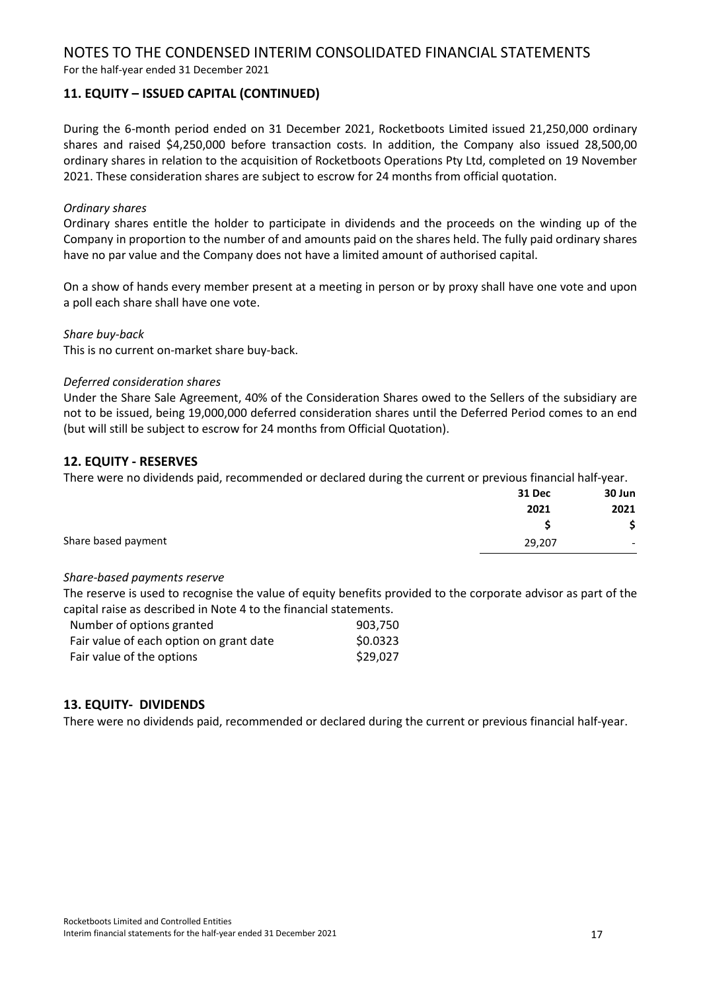For the half-year ended 31 December 2021

# **11. EQUITY – ISSUED CAPITAL (CONTINUED)**

During the 6-month period ended on 31 December 2021, Rocketboots Limited issued 21,250,000 ordinary shares and raised \$4,250,000 before transaction costs. In addition, the Company also issued 28,500,00 ordinary shares in relation to the acquisition of Rocketboots Operations Pty Ltd, completed on 19 November 2021. These consideration shares are subject to escrow for 24 months from official quotation.

# *Ordinary shares*

Ordinary shares entitle the holder to participate in dividends and the proceeds on the winding up of the Company in proportion to the number of and amounts paid on the shares held. The fully paid ordinary shares have no par value and the Company does not have a limited amount of authorised capital.

On a show of hands every member present at a meeting in person or by proxy shall have one vote and upon a poll each share shall have one vote.

#### *Share buy-back*

This is no current on-market share buy-back.

#### *Deferred consideration shares*

Under the Share Sale Agreement, 40% of the Consideration Shares owed to the Sellers of the subsidiary are not to be issued, being 19,000,000 deferred consideration shares until the Deferred Period comes to an end (but will still be subject to escrow for 24 months from Official Quotation).

# **12. EQUITY - RESERVES**

There were no dividends paid, recommended or declared during the current or previous financial half-year.

|                     | <b>31 Dec</b> | 30 Jun                   |
|---------------------|---------------|--------------------------|
|                     | 2021          | 2021                     |
|                     |               | \$                       |
| Share based payment | 29,207        | $\overline{\phantom{a}}$ |
|                     |               |                          |

#### *Share-based payments reserve*

The reserve is used to recognise the value of equity benefits provided to the corporate advisor as part of the capital raise as described in Note 4 to the financial statements.

| Number of options granted               | 903.750  |
|-----------------------------------------|----------|
| Fair value of each option on grant date | \$0.0323 |
| Fair value of the options               | \$29.027 |

#### **13. EQUITY- DIVIDENDS**

There were no dividends paid, recommended or declared during the current or previous financial half-year.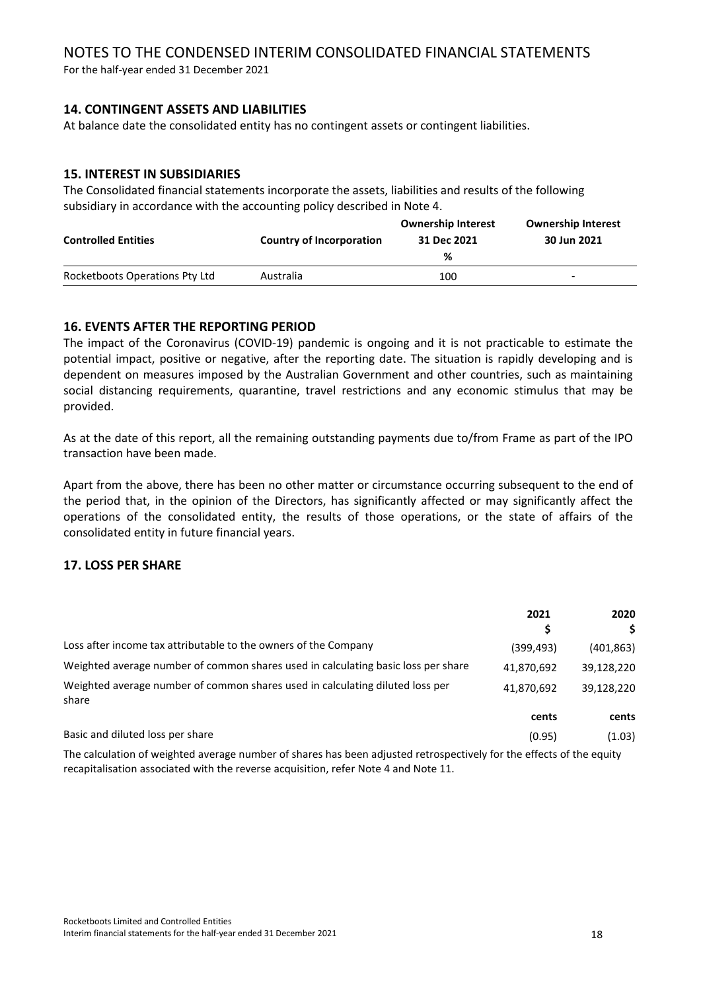For the half-year ended 31 December 2021

# **14. CONTINGENT ASSETS AND LIABILITIES**

At balance date the consolidated entity has no contingent assets or contingent liabilities.

# **15. INTEREST IN SUBSIDIARIES**

The Consolidated financial statements incorporate the assets, liabilities and results of the following subsidiary in accordance with the accounting policy described in Note 4.

| <b>Controlled Entities</b>     | Country of Incorporation | <b>Ownership Interest</b><br>31 Dec 2021<br>% | <b>Ownership Interest</b><br>30 Jun 2021 |
|--------------------------------|--------------------------|-----------------------------------------------|------------------------------------------|
| Rocketboots Operations Pty Ltd | Australia                | 100                                           | ٠                                        |

# **16. EVENTS AFTER THE REPORTING PERIOD**

The impact of the Coronavirus (COVID-19) pandemic is ongoing and it is not practicable to estimate the potential impact, positive or negative, after the reporting date. The situation is rapidly developing and is dependent on measures imposed by the Australian Government and other countries, such as maintaining social distancing requirements, quarantine, travel restrictions and any economic stimulus that may be provided.

As at the date of this report, all the remaining outstanding payments due to/from Frame as part of the IPO transaction have been made.

Apart from the above, there has been no other matter or circumstance occurring subsequent to the end of the period that, in the opinion of the Directors, has significantly affected or may significantly affect the operations of the consolidated entity, the results of those operations, or the state of affairs of the consolidated entity in future financial years.

# **17. LOSS PER SHARE**

|                                                                                        | 2021<br>S  | 2020<br>Ś. |
|----------------------------------------------------------------------------------------|------------|------------|
| Loss after income tax attributable to the owners of the Company                        | (399, 493) | (401, 863) |
| Weighted average number of common shares used in calculating basic loss per share      | 41,870,692 | 39,128,220 |
| Weighted average number of common shares used in calculating diluted loss per<br>share | 41,870,692 | 39,128,220 |
|                                                                                        | cents      | cents      |
| Basic and diluted loss per share                                                       | (0.95)     | (1.03)     |

The calculation of weighted average number of shares has been adjusted retrospectively for the effects of the equity recapitalisation associated with the reverse acquisition, refer Note 4 and Note 11.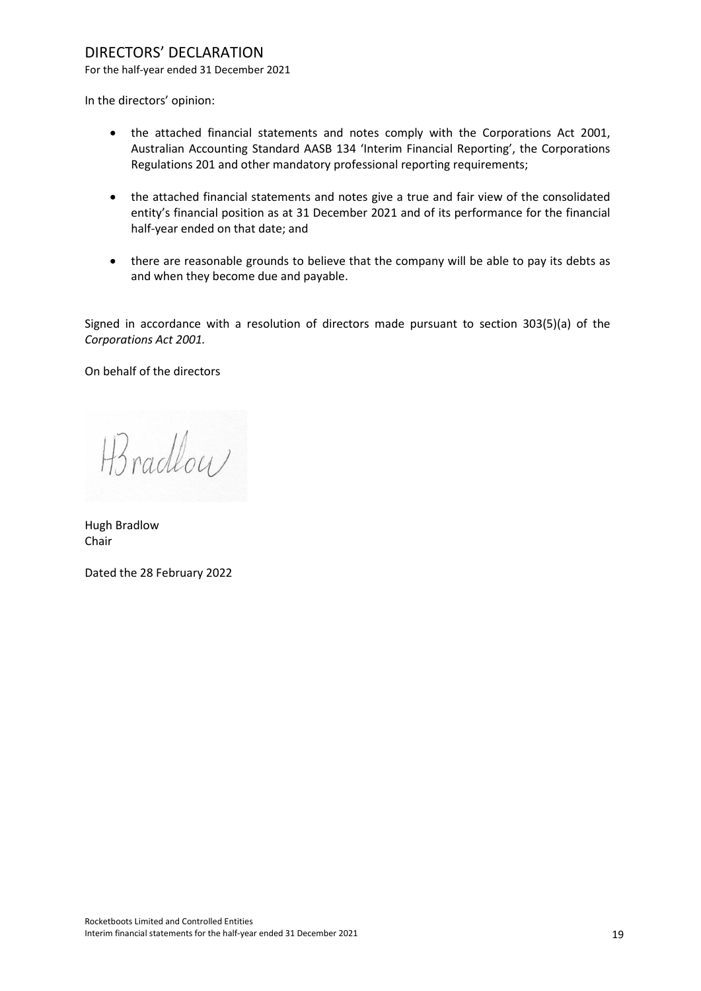# DIRECTORS' DECLARATION

For the half-year ended 31 December 2021

In the directors' opinion:

- the attached financial statements and notes comply with the Corporations Act 2001, Australian Accounting Standard AASB 134 'Interim Financial Reporting', the Corporations Regulations 201 and other mandatory professional reporting requirements;
- the attached financial statements and notes give a true and fair view of the consolidated entity's financial position as at 31 December 2021 and of its performance for the financial half-year ended on that date; and
- there are reasonable grounds to believe that the company will be able to pay its debts as and when they become due and payable.

Signed in accordance with a resolution of directors made pursuant to section 303(5)(a) of the *Corporations Act 2001.*

On behalf of the directors

H3 radlow

Hugh Bradlow Chair

Dated the 28 February 2022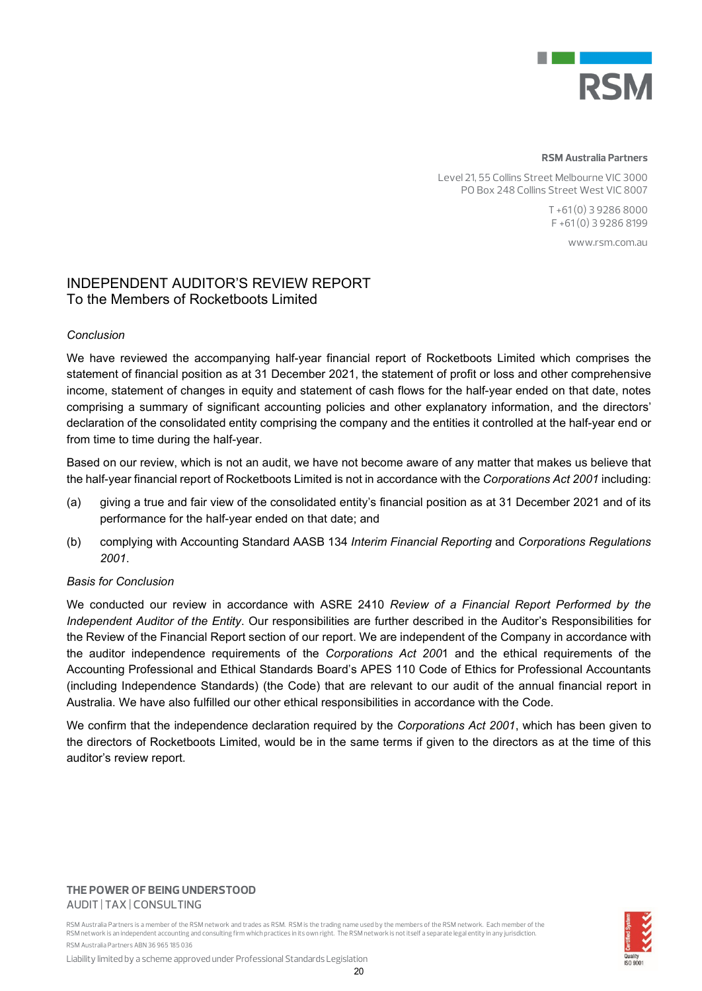

#### **RSM Australia Partners**

Level 21, 55 Collins Street Melbourne VIC 3000 PO Box 248 Collins Street West VIC 8007

> T +61 (0) 3 9286 8000 F +61 (0) 3 9286 8199

> > www.rsm.com.au

# INDEPENDENT AUDITOR'S REVIEW REPORT To the Members of Rocketboots Limited

#### *Conclusion*

We have reviewed the accompanying half-year financial report of Rocketboots Limited which comprises the statement of financial position as at 31 December 2021, the statement of profit or loss and other comprehensive income, statement of changes in equity and statement of cash flows for the half-year ended on that date, notes comprising a summary of significant accounting policies and other explanatory information, and the directors' declaration of the consolidated entity comprising the company and the entities it controlled at the half-year end or from time to time during the half-year.

Based on our review, which is not an audit, we have not become aware of any matter that makes us believe that the half-year financial report of Rocketboots Limited is not in accordance with the *Corporations Act 2001* including:

- (a) giving a true and fair view of the consolidated entity's financial position as at 31 December 2021 and of its performance for the half-year ended on that date; and
- (b) complying with Accounting Standard AASB 134 *Interim Financial Reporting* and *Corporations Regulations 2001*.

#### *Basis for Conclusion*

We conducted our review in accordance with ASRE 2410 *Review of a Financial Report Performed by the Independent Auditor of the Entity*. Our responsibilities are further described in the Auditor's Responsibilities for the Review of the Financial Report section of our report. We are independent of the Company in accordance with the auditor independence requirements of the *Corporations Act 200*1 and the ethical requirements of the Accounting Professional and Ethical Standards Board's APES 110 Code of Ethics for Professional Accountants (including Independence Standards) (the Code) that are relevant to our audit of the annual financial report in Australia. We have also fulfilled our other ethical responsibilities in accordance with the Code.

We confirm that the independence declaration required by the *Corporations Act 2001*, which has been given to the directors of Rocketboots Limited, would be in the same terms if given to the directors as at the time of this auditor's review report.

#### **THE POWER OF BEING UNDERSTOOD** AUDIT | TAX | CONSULTING

RSM Australia Partners is a member of the RSM network and trades as RSM. RSM is the trading name used by the members of the RSM network. Each member of the RSM network is an independent accounting and consulting firm which practices in its own right. The RSM network is not itself a separate legal entity in any jurisdiction. RSM Australia Partners ABN 36 965 185 036



Liability limited by a scheme approved under Professional Standards Legislation